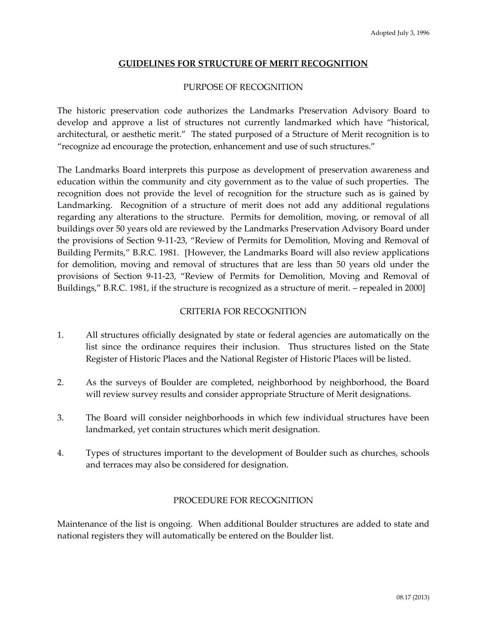## **GUIDELINES FOR STRUCTURE OF MERIT RECOGNITION**

## PURPOSE OF RECOGNITION

The historic preservation code authorizes the Landmarks Preservation Advisory Board to develop and approve a list of structures not currently landmarked which have "historical, architectural, or aesthetic merit." The stated purposed of a Structure of Merit recognition is to "recognize ad encourage the protection, enhancement and use of such structures."

The Landmarks Board interprets this purpose as development of preservation awareness and education within the community and city government as to the value of such properties. The recognition does not provide the level of recognition for the structure such as is gained by Landmarking. Recognition of a structure of merit does not add any additional regulations regarding any alterations to the structure. Permits for demolition, moving, or removal of all buildings over 50 years old are reviewed by the Landmarks Preservation Advisory Board under the provisions of Section 9-11-23, "Review of Permits for Demolition, Moving and Removal of Building Permits," B.R.C. 1981. [However, the Landmarks Board will also review applications for demolition, moving and removal of structures that are less than 50 years old under the provisions of Section 9-11-23, "Review of Permits for Demolition, Moving and Removal of Buildings," B.R.C. 1981, if the structure is recognized as a structure of merit. – repealed in 2000]

## CRITERIA FOR RECOGNITION

- 1. All structures officially designated by state or federal agencies are automatically on the list since the ordinance requires their inclusion. Thus structures listed on the State Register of Historic Places and the National Register of Historic Places will be listed.
- 2. As the surveys of Boulder are completed, neighborhood by neighborhood, the Board will review survey results and consider appropriate Structure of Merit designations.
- 3. The Board will consider neighborhoods in which few individual structures have been landmarked, yet contain structures which merit designation.
- 4. Types of structures important to the development of Boulder such as churches, schools and terraces may also be considered for designation.

## PROCEDURE FOR RECOGNITION

Maintenance of the list is ongoing. When additional Boulder structures are added to state and national registers they will automatically be entered on the Boulder list.